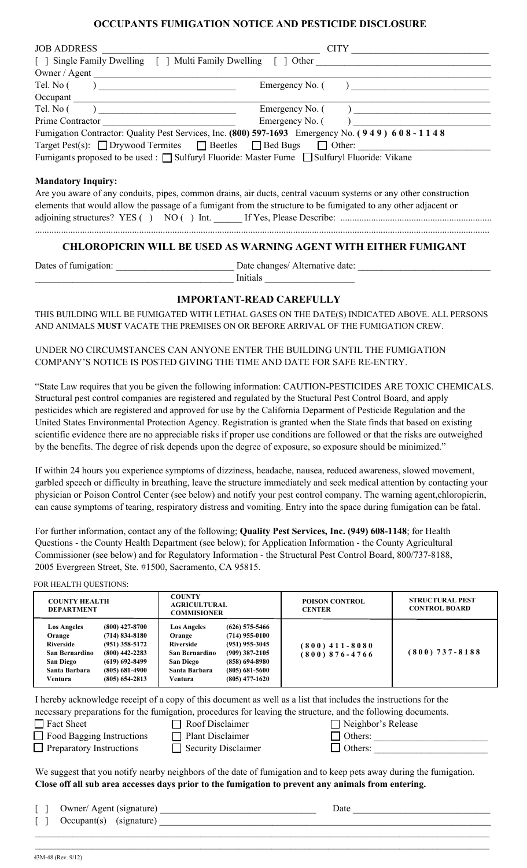## **OCCUPANTS FUMIGATION NOTICE AND PESTICIDE DISCLOSURE**

| <b>JOB ADDRESS</b>                                                                                               |                                                                                                |  |  |  |  |
|------------------------------------------------------------------------------------------------------------------|------------------------------------------------------------------------------------------------|--|--|--|--|
|                                                                                                                  |                                                                                                |  |  |  |  |
| Owner / Agent                                                                                                    |                                                                                                |  |  |  |  |
| Tel. No ( )                                                                                                      | $\mathbf{E}$ mergency No. $($                                                                  |  |  |  |  |
|                                                                                                                  |                                                                                                |  |  |  |  |
| Tel. No ( )                                                                                                      |                                                                                                |  |  |  |  |
|                                                                                                                  | Emergency No. $($                                                                              |  |  |  |  |
|                                                                                                                  | Fumigation Contractor: Quality Pest Services, Inc. (800) 597-1693 Emergency No. (949) 608-1148 |  |  |  |  |
| Target Pest(s): $\Box$ Drywood Termites $\Box$ Beetles $\Box$ Bed Bugs $\Box$ Other:                             |                                                                                                |  |  |  |  |
| Fumigants proposed to be used : □ Sulfuryl Fluoride: Master Fume □ Sulfuryl Fluoride: Vikane                     |                                                                                                |  |  |  |  |
| <b>Mandatory Inquiry:</b>                                                                                        |                                                                                                |  |  |  |  |
| Are you aware of any conduits, pipes, common drains, air ducts, central vacuum systems or any other construction |                                                                                                |  |  |  |  |
| elements that would allow the passage of a fumigant from the structure to be fumigated to any other adjacent or  |                                                                                                |  |  |  |  |
|                                                                                                                  |                                                                                                |  |  |  |  |
|                                                                                                                  | <b>CHLOROPICRIN WILL BE USED AS WARNING AGENT WITH EITHER FUMIGANT</b>                         |  |  |  |  |
| Dates of fumigation:                                                                                             | Date changes/ Alternative date:                                                                |  |  |  |  |

# Initials **IMPORTANT-READ CAREFULLY**

THIS BUILDING WILL BE FUMIGATED WITH LETHAL GASES ON THE DATE(S) INDICATED ABOVE. ALL PERSONS AND ANIMALS **MUST** VACATE THE PREMISES ON OR BEFORE ARRIVAL OF THE FUMIGATION CREW.

UNDER NO CIRCUMSTANCES CAN ANYONE ENTER THE BUILDING UNTIL THE FUMIGATION COMPANY'S NOTICE IS POSTED GIVING THE TIME AND DATE FOR SAFE RE-ENTRY.

"State Law requires that you be given the following information: CAUTION-PESTICIDES ARE TOXIC CHEMICALS. Structural pest control companies are registered and regulated by the Stuctural Pest Control Board, and apply pesticides which are registered and approved for use by the California Deparment of Pesticide Regulation and the United States Environmental Protection Agency. Registration is granted when the State finds that based on existing scientific evidence there are no appreciable risks if proper use conditions are followed or that the risks are outweighed by the benefits. The degree of risk depends upon the degree of exposure, so exposure should be minimized."

If within 24 hours you experience symptoms of dizziness, headache, nausea, reduced awareness, slowed movement, garbled speech or difficulty in breathing, leave the structure immediately and seek medical attention by contacting your physician or Poison Control Center (see below) and notify your pest control company. The warning agent,chloropicrin, can cause symptoms of tearing, respiratory distress and vomiting. Entry into the space during fumigation can be fatal.

For further information, contact any of the following; **Quality Pest Services, Inc. (949) 608-1148**; for Health Questions - the County Health Department (see below); for Application Information - the County Agricultural Commissioner (see below) and for Regulatory Information - the Structural Pest Control Board, 800/737-8188, 2005 Evergreen Street, Ste. #1500, Sacramento, CA 95815.

#### FOR HEALTH QUESTIONS:

| <b>COUNTY HEALTH</b><br><b>DEPARTMENT</b>                                                                                                                                                                                                                   | <b>COUNTY</b><br><b>AGRICULTURAL</b><br><b>COMMISIONER</b>                                                                                                                                                                                              | <b>POISON CONTROL</b><br><b>CENTER</b>   | <b>STRUCTURAL PEST</b><br><b>CONTROL BOARD</b> |
|-------------------------------------------------------------------------------------------------------------------------------------------------------------------------------------------------------------------------------------------------------------|---------------------------------------------------------------------------------------------------------------------------------------------------------------------------------------------------------------------------------------------------------|------------------------------------------|------------------------------------------------|
| $(800)$ 427-8700<br><b>Los Angeles</b><br>$(714) 834 - 8180$<br>Orange<br>$(951)$ 358-5172<br>Riverside<br>$(800)$ 442-2283<br>San Bernardino<br>$(619) 692 - 8499$<br><b>San Diego</b><br>$(805)$ 681-4900<br>Santa Barbara<br>$(805)$ 654-2813<br>Ventura | $(626)$ 575-5466<br><b>Los Angeles</b><br>$(714)$ 955-0100<br>Orange<br>$(951)$ 955-3045<br>Riverside<br>$(909)$ 387-2105<br>San Bernardino<br>$(858)$ 694-8980<br><b>San Diego</b><br>Santa Barbara<br>$(805)$ 681-5600<br>$(805)$ 477-1620<br>Ventura | $(800)$ 411 - 8080<br>$(800) 876 - 4766$ | $(800) 737 - 8188$                             |

I hereby acknowledge receipt of a copy of this document as well as a list that includes the instructions for the necessary preparations for the fumigation, procedures for leaving the structure, and the following documents. Tract Sheet □ Roof Disclaimer □ Neighbor's Release

|  | <b>Fact Sheet</b> |  |
|--|-------------------|--|
|  |                   |  |

- T Food Bagging Instructions T Plant Disclaimer T Others:
- 
- $\Box$  Preparatory Instructions  $\Box$  Security Disclaimer  $\Box$  Others:

We suggest that you notify nearby neighbors of the date of fumigation and to keep pets away during the fumigation. **Close off all sub area accesses days prior to the fumigation to prevent any animals from entering.**

 $\_$  $\_$ 

[ ] Owner/ Agent (signature) \_\_\_\_\_\_\_\_\_\_\_\_\_\_\_\_\_\_\_\_\_\_\_\_\_\_\_\_\_\_\_\_\_ Date \_\_\_\_\_\_\_\_\_\_\_\_\_\_\_\_\_\_\_\_\_\_\_\_\_\_\_\_\_

 $\begin{bmatrix} \begin{array}{ccc} \end{array} \end{bmatrix}$  Occupant(s) (signature)